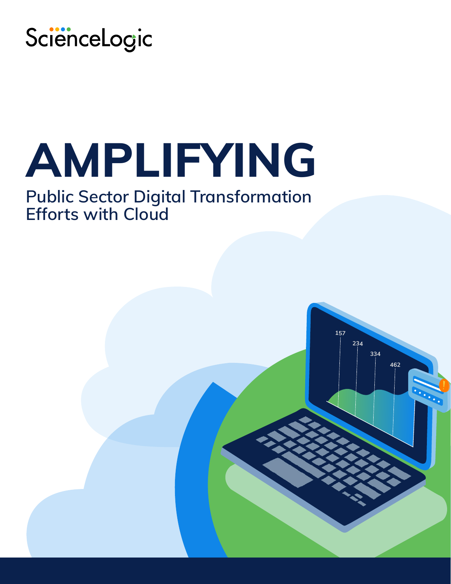

# **AMPLIFYING**

# **Public Sector Digital Transformation Efforts with Cloud**

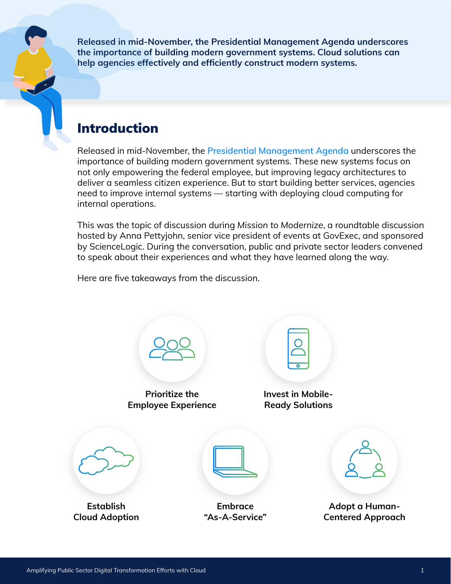**Released in mid-November, the Presidential Management Agenda underscores the importance of building modern government systems. Cloud solutions can help agencies effectively and efficiently construct modern systems.**

#### Introduction

Released in mid-November, the **[Presidential Management Agenda](https://assets.performance.gov/PMA/Biden-Harris_Management_Agenda_Vision_11-18.pdf)** underscores the importance of building modern government systems. These new systems focus on not only empowering the federal employee, but improving legacy architectures to deliver a seamless citizen experience. But to start building better services, agencies need to improve internal systems — starting with deploying cloud computing for internal operations.

This was the topic of discussion during *Mission to Modernize*, a roundtable discussion hosted by Anna Pettyjohn, senior vice president of events at GovExec, and sponsored by ScienceLogic. During the conversation, public and private sector leaders convened to speak about their experiences and what they have learned along the way.

Here are five takeaways from the discussion.

**Prioritize the [Employee Experience](#page-2-0) [Invest in Mobile-](#page-2-0)Ready Solutions Establish [Cloud Adoption](#page-3-0) Embrace ["As-A-Service"](#page-3-0) Adopt a Human-[Centered Approach](#page-4-0)**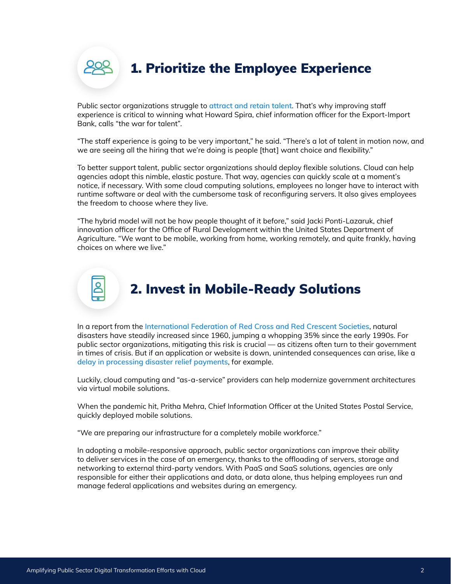<span id="page-2-0"></span>

Public sector organizations struggle to **[attract and retain talent](https://www.shrm.org/hr-today/news/all-things-work/pages/hiring-challenges-confront-public-sector-employers.aspx)**. That's why improving staff experience is critical to winning what Howard Spira, chief information officer for the Export-Import Bank, calls "the war for talent".

"The staff experience is going to be very important," he said. "There's a lot of talent in motion now, and we are seeing all the hiring that we're doing is people [that] want choice and flexibility."

To better support talent, public sector organizations should deploy flexible solutions. Cloud can help agencies adopt this nimble, elastic posture. That way, agencies can quickly scale at a moment's notice, if necessary. With some cloud computing solutions, employees no longer have to interact with runtime software or deal with the cumbersome task of reconfiguring servers. It also gives employees the freedom to choose where they live.

"The hybrid model will not be how people thought of it before," said Jacki Ponti-Lazaruk, chief innovation officer for the Office of Rural Development within the United States Department of Agriculture. "We want to be mobile, working from home, working remotely, and quite frankly, having choices on where we live."



## 2. Invest in Mobile-Ready Solutions

In a report from the **[International Federation of Red Cross and Red Crescent Societies](https://www.ifrc.org/sites/default/files/2021-05/20201116_WorldDisasters_Full.pdf)**, natural disasters have steadily increased since 1960, jumping a whopping 35% since the early 1990s. For public sector organizations, mitigating this risk is crucial — as citizens often turn to their government in times of crisis. But if an application or website is down, unintended consequences can arise, like a **[delay in processing disaster relief payments](https://www.theguardian.com/australia-news/2021/jul/22/totally-unacceptable-locked-down-australians-struggling-to-access-covid-payments)**, for example.

Luckily, cloud computing and "as-a-service" providers can help modernize government architectures via virtual mobile solutions.

When the pandemic hit, Pritha Mehra, Chief Information Officer at the United States Postal Service, quickly deployed mobile solutions.

"We are preparing our infrastructure for a completely mobile workforce."

In adopting a mobile-responsive approach, public sector organizations can improve their ability to deliver services in the case of an emergency, thanks to the offloading of servers, storage and networking to external third-party vendors. With PaaS and SaaS solutions, agencies are only responsible for either their applications and data, or data alone, thus helping employees run and manage federal applications and websites during an emergency.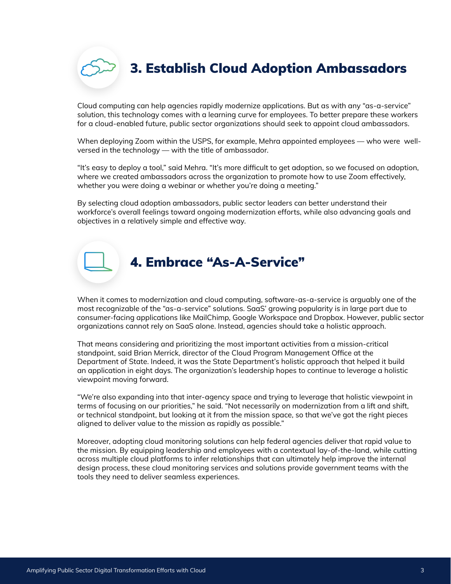<span id="page-3-0"></span>

Cloud computing can help agencies rapidly modernize applications. But as with any "as-a-service" solution, this technology comes with a learning curve for employees. To better prepare these workers for a cloud-enabled future, public sector organizations should seek to appoint cloud ambassadors.

When deploying Zoom within the USPS, for example, Mehra appointed employees — who were wellversed in the technology — with the title of ambassador.

"It's easy to deploy a tool," said Mehra. "It's more difficult to get adoption, so we focused on adoption, where we created ambassadors across the organization to promote how to use Zoom effectively, whether you were doing a webinar or whether you're doing a meeting."

By selecting cloud adoption ambassadors, public sector leaders can better understand their workforce's overall feelings toward ongoing modernization efforts, while also advancing goals and objectives in a relatively simple and effective way.

#### 4. Embrace "As-A-Service"

When it comes to modernization and cloud computing, software-as-a-service is arguably one of the most recognizable of the "as-a-service" solutions. SaaS' growing popularity is in large part due to consumer-facing applications like MailChimp, Google Workspace and Dropbox. However, public sector organizations cannot rely on SaaS alone. Instead, agencies should take a holistic approach.

That means considering and prioritizing the most important activities from a mission-critical standpoint, said Brian Merrick, director of the Cloud Program Management Office at the Department of State. Indeed, it was the State Department's holistic approach that helped it build an application in eight days. The organization's leadership hopes to continue to leverage a holistic viewpoint moving forward.

"We're also expanding into that inter-agency space and trying to leverage that holistic viewpoint in terms of focusing on our priorities," he said. "Not necessarily on modernization from a lift and shift, or technical standpoint, but looking at it from the mission space, so that we've got the right pieces aligned to deliver value to the mission as rapidly as possible."

Moreover, adopting cloud monitoring solutions can help federal agencies deliver that rapid value to the mission. By equipping leadership and employees with a contextual lay-of-the-land, while cutting across multiple cloud platforms to infer relationships that can ultimately help improve the internal design process, these cloud monitoring services and solutions provide government teams with the tools they need to deliver seamless experiences.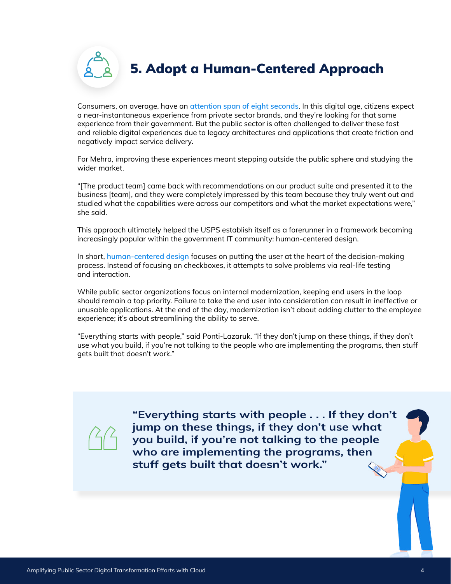5. Adopt a Human-Centered Approach

<span id="page-4-0"></span>Consumers, on average, have an **[attention span of eight seconds](https://www.forbes.com/sites/jiawertz/2019/08/31/the-number-one-thing-marketers-need-to-know-to-increase-online-sales/)**. In this digital age, citizens expect a near-instantaneous experience from private sector brands, and they're looking for that same experience from their government. But the public sector is often challenged to deliver these fast and reliable digital experiences due to legacy architectures and applications that create friction and negatively impact service delivery.

For Mehra, improving these experiences meant stepping outside the public sphere and studying the wider market.

"[The product team] came back with recommendations on our product suite and presented it to the business [team], and they were completely impressed by this team because they truly went out and studied what the capabilities were across our competitors and what the market expectations were," she said.

This approach ultimately helped the USPS establish itself as a forerunner in a framework becoming increasingly popular within the government IT community: human-centered design.

In short, **[human-centered design](https://www.govloop.com/community/blog/making-the-case-for-human-centered-design-in-government/)** focuses on putting the user at the heart of the decision-making process. Instead of focusing on checkboxes, it attempts to solve problems via real-life testing and interaction.

While public sector organizations focus on internal modernization, keeping end users in the loop should remain a top priority. Failure to take the end user into consideration can result in ineffective or unusable applications. At the end of the day, modernization isn't about adding clutter to the employee experience; it's about streamlining the ability to serve.

"Everything starts with people," said Ponti-Lazaruk. "If they don't jump on these things, if they don't use what you build, if you're not talking to the people who are implementing the programs, then stuff gets built that doesn't work."



**"Everything starts with people . . . If they don't jump on these things, if they don't use what you build, if you're not talking to the people who are implementing the programs, then stuff gets built that doesn't work."**